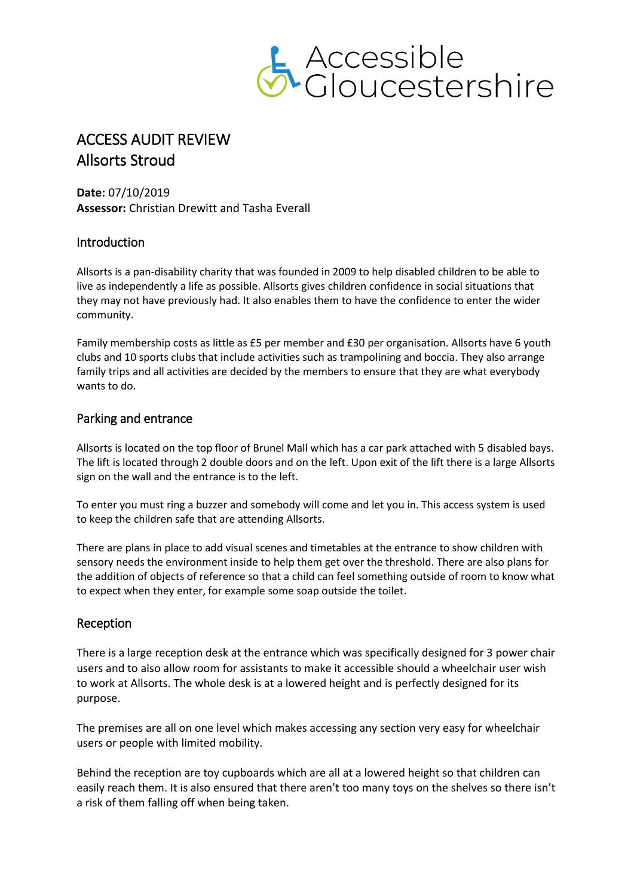

# ACCESS AUDIT REVIEW Allsorts Stroud

**Date:** 07/10/2019 **Assessor:** Christian Drewitt and Tasha Everall

## Introduction

Allsorts is a pan-disability charity that was founded in 2009 to help disabled children to be able to live as independently a life as possible. Allsorts gives children confidence in social situations that they may not have previously had. It also enables them to have the confidence to enter the wider community.

Family membership costs as little as £5 per member and £30 per organisation. Allsorts have 6 youth clubs and 10 sports clubs that include activities such as trampolining and boccia. They also arrange family trips and all activities are decided by the members to ensure that they are what everybody wants to do.

#### Parking and entrance

Allsorts is located on the top floor of Brunel Mall which has a car park attached with 5 disabled bays. The lift is located through 2 double doors and on the left. Upon exit of the lift there is a large Allsorts sign on the wall and the entrance is to the left.

To enter you must ring a buzzer and somebody will come and let you in. This access system is used to keep the children safe that are attending Allsorts.

There are plans in place to add visual scenes and timetables at the entrance to show children with sensory needs the environment inside to help them get over the threshold. There are also plans for the addition of objects of reference so that a child can feel something outside of room to know what to expect when they enter, for example some soap outside the toilet.

#### Reception

There is a large reception desk at the entrance which was specifically designed for 3 power chair users and to also allow room for assistants to make it accessible should a wheelchair user wish to work at Allsorts. The whole desk is at a lowered height and is perfectly designed for its purpose.

The premises are all on one level which makes accessing any section very easy for wheelchair users or people with limited mobility.

Behind the reception are toy cupboards which are all at a lowered height so that children can easily reach them. It is also ensured that there aren't too many toys on the shelves so there isn't a risk of them falling off when being taken.